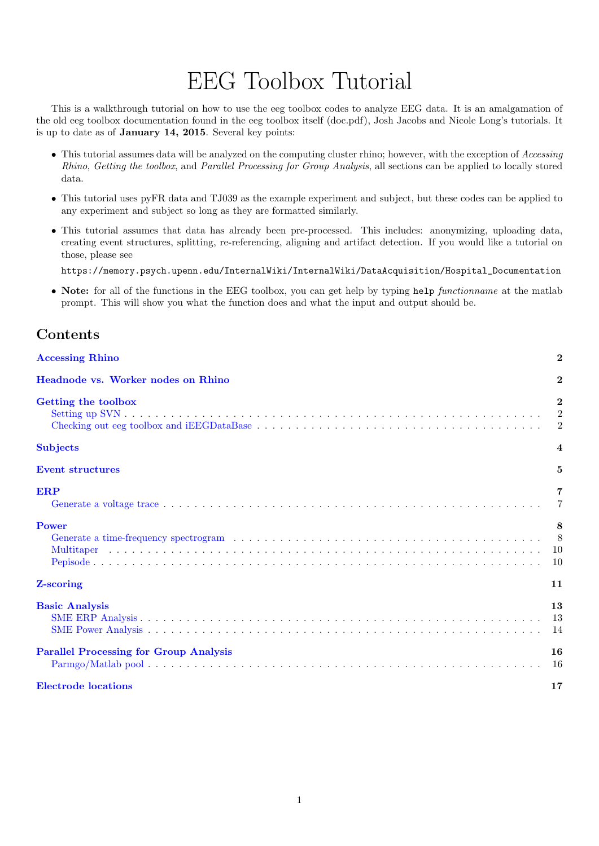# EEG Toolbox Tutorial

This is a walkthrough tutorial on how to use the eeg toolbox codes to analyze EEG data. It is an amalgamation of the old eeg toolbox documentation found in the eeg toolbox itself (doc.pdf), Josh Jacobs and Nicole Long's tutorials. It is up to date as of January 14, 2015. Several key points:

- This tutorial assumes data will be analyzed on the computing cluster rhino; however, with the exception of Accessing Rhino, Getting the toolbox, and Parallel Processing for Group Analysis, all sections can be applied to locally stored data.
- This tutorial uses pyFR data and TJ039 as the example experiment and subject, but these codes can be applied to any experiment and subject so long as they are formatted similarly.
- This tutorial assumes that data has already been pre-processed. This includes: anonymizing, uploading data, creating event structures, splitting, re-referencing, aligning and artifact detection. If you would like a tutorial on those, please see

https://memory.psych.upenn.edu/InternalWiki/InternalWiki/DataAcquisition/Hospital\_Documentation

• Note: for all of the functions in the EEG toolbox, you can get help by typing help functionname at the matlab prompt. This will show you what the function does and what the input and output should be.

# Contents

| <b>Accessing Rhino</b>                        | $\mathbf{2}$                        |
|-----------------------------------------------|-------------------------------------|
| Headnode vs. Worker nodes on Rhino            | $\bf{2}$                            |
| Getting the toolbox                           | $\mathbf{2}$<br>2<br>$\overline{2}$ |
| <b>Subjects</b>                               | $\overline{4}$                      |
| <b>Event structures</b>                       | 5                                   |
| <b>ERP</b>                                    | 7<br>$\overline{7}$                 |
| <b>Power</b>                                  | 8<br>- 8<br><sup>10</sup><br>10     |
| Z-scoring                                     | 11                                  |
| <b>Basic Analysis</b>                         | 13<br>-13<br>14                     |
| <b>Parallel Processing for Group Analysis</b> | 16<br>16                            |
| <b>Electrode</b> locations                    | 17                                  |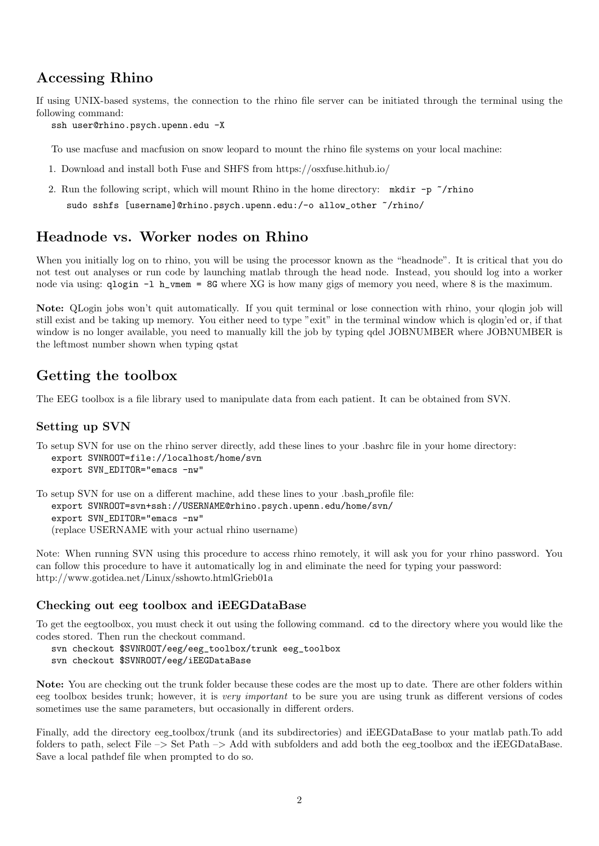# <span id="page-1-0"></span>Accessing Rhino

If using UNIX-based systems, the connection to the rhino file server can be initiated through the terminal using the following command:

ssh user@rhino.psych.upenn.edu -X

To use macfuse and macfusion on snow leopard to mount the rhino file systems on your local machine:

- 1. Download and install both Fuse and SHFS from https://osxfuse.hithub.io/
- 2. Run the following script, which will mount Rhino in the home directory: mkdir -p  $\gamma$ rhino sudo sshfs [username]@rhino.psych.upenn.edu:/-o allow\_other ~/rhino/

# <span id="page-1-1"></span>Headnode vs. Worker nodes on Rhino

When you initially log on to rhino, you will be using the processor known as the "headnode". It is critical that you do not test out analyses or run code by launching matlab through the head node. Instead, you should log into a worker node via using: qlogin -l h\_vmem = 8G where XG is how many gigs of memory you need, where 8 is the maximum.

Note: QLogin jobs won't quit automatically. If you quit terminal or lose connection with rhino, your qlogin job will still exist and be taking up memory. You either need to type "exit" in the terminal window which is qlogin'ed or, if that window is no longer available, you need to manually kill the job by typing qdel JOBNUMBER where JOBNUMBER is the leftmost number shown when typing qstat

## <span id="page-1-2"></span>Getting the toolbox

The EEG toolbox is a file library used to manipulate data from each patient. It can be obtained from SVN.

#### <span id="page-1-3"></span>Setting up SVN

To setup SVN for use on the rhino server directly, add these lines to your .bashrc file in your home directory: export SVNROOT=file://localhost/home/svn export SVN\_EDITOR="emacs -nw"

To setup SVN for use on a different machine, add these lines to your .bash profile file: export SVNROOT=svn+ssh://USERNAME@rhino.psych.upenn.edu/home/svn/ export SVN\_EDITOR="emacs -nw" (replace USERNAME with your actual rhino username)

Note: When running SVN using this procedure to access rhino remotely, it will ask you for your rhino password. You can follow this procedure to have it automatically log in and eliminate the need for typing your password: http://www.gotidea.net/Linux/sshowto.htmlGrieb01a

#### <span id="page-1-4"></span>Checking out eeg toolbox and iEEGDataBase

To get the eegtoolbox, you must check it out using the following command. cd to the directory where you would like the codes stored. Then run the checkout command.

svn checkout \$SVNROOT/eeg/eeg\_toolbox/trunk eeg\_toolbox

svn checkout \$SVNROOT/eeg/iEEGDataBase

Note: You are checking out the trunk folder because these codes are the most up to date. There are other folders within eeg toolbox besides trunk; however, it is very important to be sure you are using trunk as different versions of codes sometimes use the same parameters, but occasionally in different orders.

Finally, add the directory eeg toolbox/trunk (and its subdirectories) and iEEGDataBase to your matlab path.To add folders to path, select File –> Set Path –> Add with subfolders and add both the eeg toolbox and the iEEGDataBase. Save a local pathdef file when prompted to do so.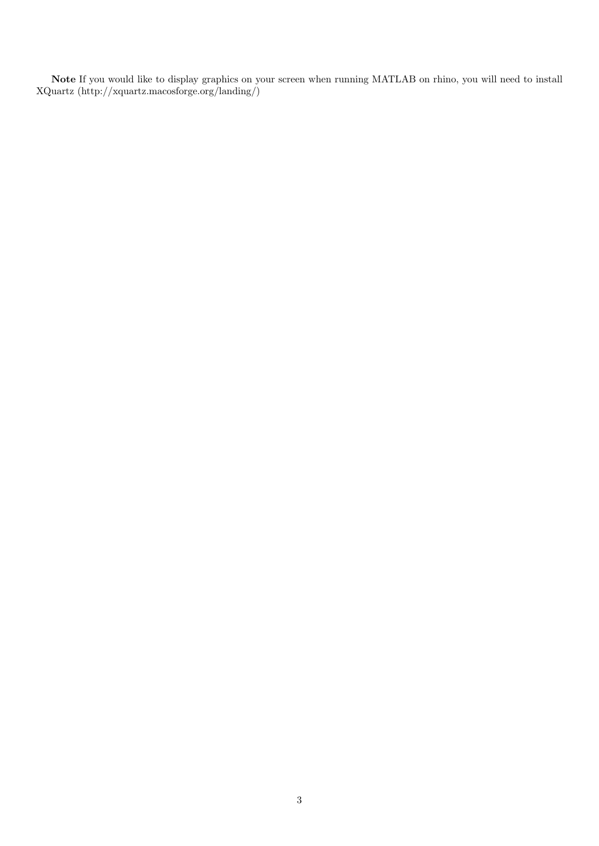Note If you would like to display graphics on your screen when running MATLAB on rhino, you will need to install XQuartz (http://xquartz.macosforge.org/landing/)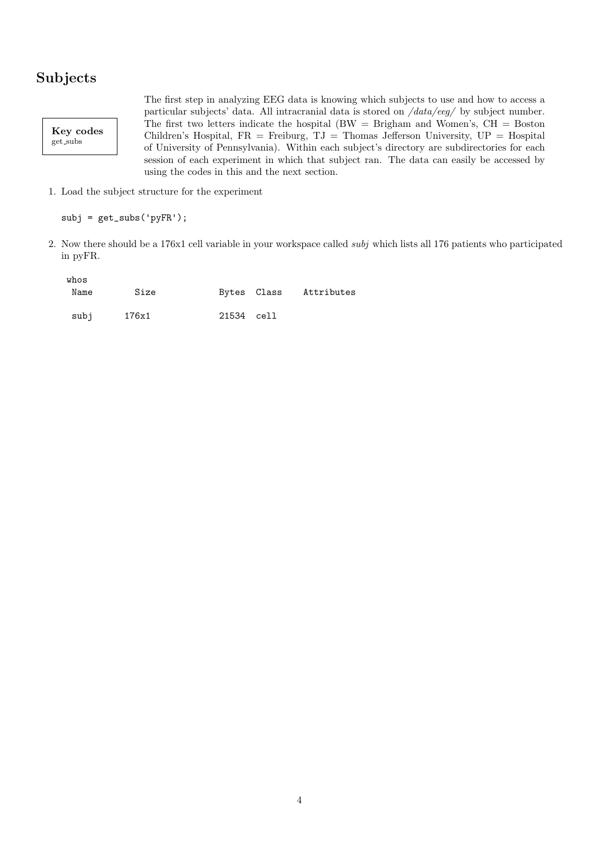# <span id="page-3-0"></span>Subjects

Key codes  ${\rm get\_subs}$ 

The first step in analyzing EEG data is knowing which subjects to use and how to access a particular subjects' data. All intracranial data is stored on /data/eeg/ by subject number. The first two letters indicate the hospital  $(BW = B$ righam and Women's,  $CH = Boston$ Children's Hospital,  $FR =$  Freiburg,  $TJ =$  Thomas Jefferson University,  $UP =$  Hospital of University of Pennsylvania). Within each subject's directory are subdirectories for each session of each experiment in which that subject ran. The data can easily be accessed by using the codes in this and the next section.

1. Load the subject structure for the experiment

```
subj = get\_subs('pyFR');
```
2. Now there should be a 176x1 cell variable in your workspace called subj which lists all 176 patients who participated in pyFR.

| whos |       |            |                        |
|------|-------|------------|------------------------|
| Name | Size  |            | Bytes Class Attributes |
|      |       |            |                        |
| subj | 176x1 | 21534 cell |                        |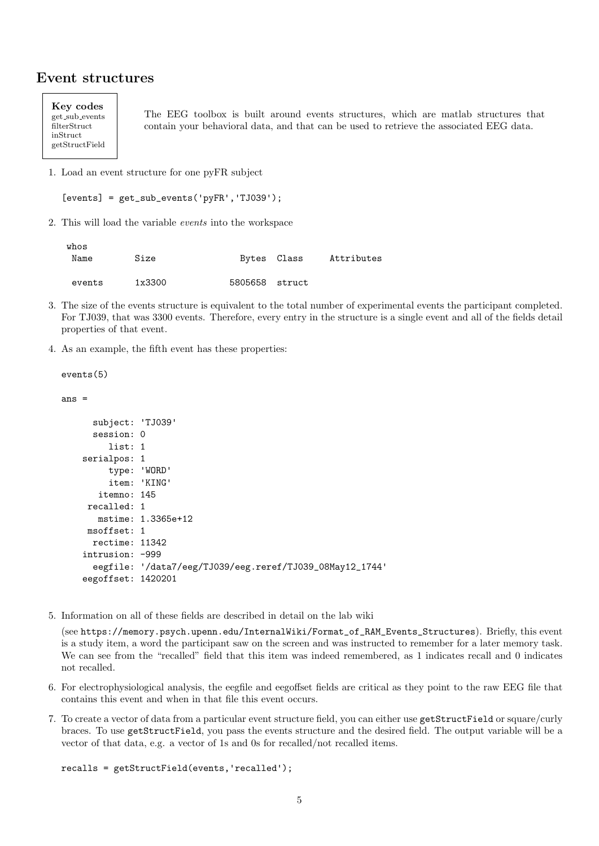## <span id="page-4-0"></span>Event structures

Key codes get sub events filterStruct inStruct getStructField

whose con-

The EEG toolbox is built around events structures, which are matlab structures that contain your behavioral data, and that can be used to retrieve the associated EEG data.

1. Load an event structure for one pyFR subject

```
[events] = get\_sub_events('pyFR', 'TJ039');
```
2. This will load the variable events into the workspace

| w⊥ບຮ<br>Name | Size   |                | Bytes Class | Attributes |
|--------------|--------|----------------|-------------|------------|
| events       | 1x3300 | 5805658 struct |             |            |

- 3. The size of the events structure is equivalent to the total number of experimental events the participant completed. For TJ039, that was 3300 events. Therefore, every entry in the structure is a single event and all of the fields detail properties of that event.
- 4. As an example, the fifth event has these properties:

events(5)

ans =

```
subject: 'TJ039'
  session: 0
     list: 1
serialpos: 1
     type: 'WORD'
     item: 'KING'
   itemno: 145
 recalled: 1
  mstime: 1.3365e+12
msoffset: 1
  rectime: 11342
intrusion: -999
  eegfile: '/data7/eeg/TJ039/eeg.reref/TJ039_08May12_1744'
eegoffset: 1420201
```
5. Information on all of these fields are described in detail on the lab wiki

(see https://memory.psych.upenn.edu/InternalWiki/Format\_of\_RAM\_Events\_Structures). Briefly, this event is a study item, a word the participant saw on the screen and was instructed to remember for a later memory task. We can see from the "recalled" field that this item was indeed remembered, as 1 indicates recall and 0 indicates not recalled.

- 6. For electrophysiological analysis, the eegfile and eegoffset fields are critical as they point to the raw EEG file that contains this event and when in that file this event occurs.
- 7. To create a vector of data from a particular event structure field, you can either use getStructField or square/curly braces. To use getStructField, you pass the events structure and the desired field. The output variable will be a vector of that data, e.g. a vector of 1s and 0s for recalled/not recalled items.

```
recalls = getStructField(events,'recalled');
```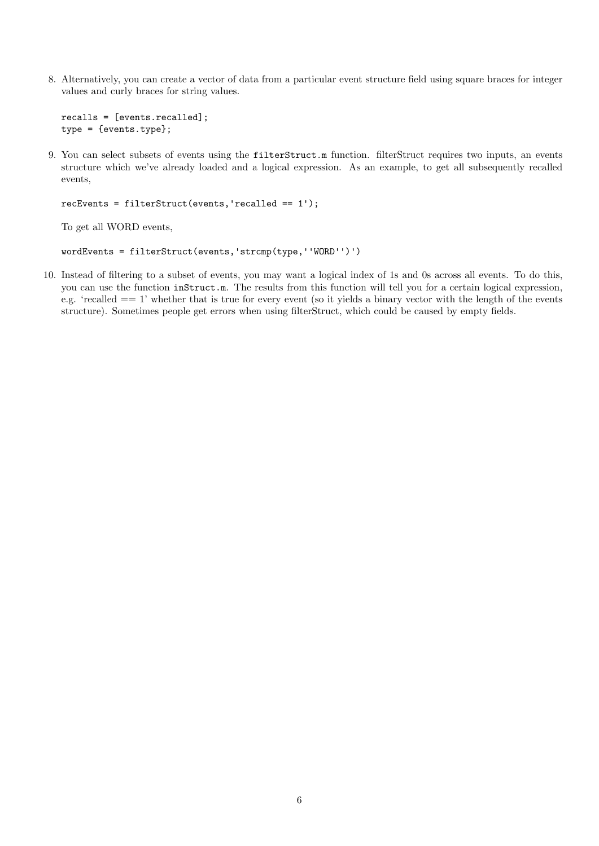8. Alternatively, you can create a vector of data from a particular event structure field using square braces for integer values and curly braces for string values.

```
recalls = [events.recalled];
type = {events.type};
```
9. You can select subsets of events using the filterStruct.m function. filterStruct requires two inputs, an events structure which we've already loaded and a logical expression. As an example, to get all subsequently recalled events,

```
recEvents = filterStruct(events,'recalled == 1');
```
To get all WORD events,

```
wordEvents = filterStruct(events,'strcmp(type,''WORD'')')
```
10. Instead of filtering to a subset of events, you may want a logical index of 1s and 0s across all events. To do this, you can use the function inStruct.m. The results from this function will tell you for a certain logical expression, e.g. 'recalled == 1' whether that is true for every event (so it yields a binary vector with the length of the events structure). Sometimes people get errors when using filterStruct, which could be caused by empty fields.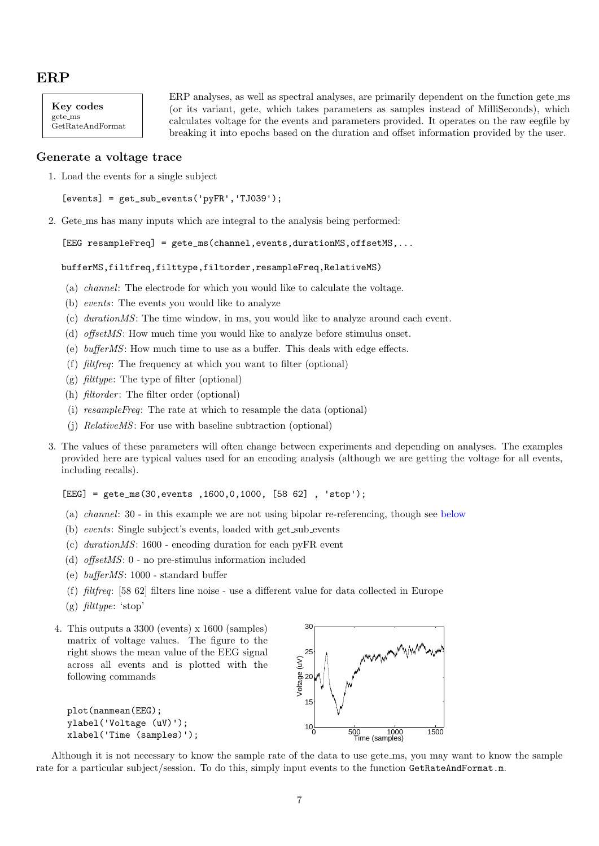# <span id="page-6-0"></span>ERP

Key codes gete ms GetRateAndFormat ERP analyses, as well as spectral analyses, are primarily dependent on the function gete ms (or its variant, gete, which takes parameters as samples instead of MilliSeconds), which calculates voltage for the events and parameters provided. It operates on the raw eegfile by breaking it into epochs based on the duration and offset information provided by the user.

#### <span id="page-6-1"></span>Generate a voltage trace

1. Load the events for a single subject

```
[events] = get\_sub_events('pyFR', 'TJ039');
```
2. Gete ms has many inputs which are integral to the analysis being performed:

```
[EEG resampleFreq] = gete_ms(channel, events, durationMS, offsetMS, ...
```

```
bufferMS,filtfreq,filttype,filtorder,resampleFreq,RelativeMS)
```
- (a) channel: The electrode for which you would like to calculate the voltage.
- (b) events: The events you would like to analyze
- (c) durationMS: The time window, in ms, you would like to analyze around each event.
- (d) offsetMS: How much time you would like to analyze before stimulus onset.
- (e) bufferMS: How much time to use as a buffer. This deals with edge effects.
- (f) filtfreq: The frequency at which you want to filter (optional)
- (g)  $\text{filter}$ : The type of filter (optional)
- (h)  $\text{filter: The filter order (optional)}$
- (i) resampleFreq: The rate at which to resample the data (optional)
- (j) RelativeMS: For use with baseline subtraction (optional)
- 3. The values of these parameters will often change between experiments and depending on analyses. The examples provided here are typical values used for an encoding analysis (although we are getting the voltage for all events, including recalls).

 $[EEG] = gete_ms(30, events, 1600, 0, 1000, [58 62], 'stop');$ 

- (a) channel: 30 in this example we are not using bipolar re-referencing, though see [below](#page-16-1)
- (b) events: Single subject's events, loaded with get sub events
- (c) durationMS: 1600 encoding duration for each pyFR event
- (d) offsetMS: 0 no pre-stimulus information included
- (e) bufferMS: 1000 standard buffer
- (f) filtfreq: [58 62] filters line noise use a different value for data collected in Europe
- (g) filttype: 'stop'
- 4. This outputs a 3300 (events) x 1600 (samples) matrix of voltage values. The figure to the right shows the mean value of the EEG signal across all events and is plotted with the following commands

```
plot(nanmean(EEG);
ylabel('Voltage (uV)');
xlabel('Time (samples)');
```


Although it is not necessary to know the sample rate of the data to use gete ms, you may want to know the sample rate for a particular subject/session. To do this, simply input events to the function GetRateAndFormat.m.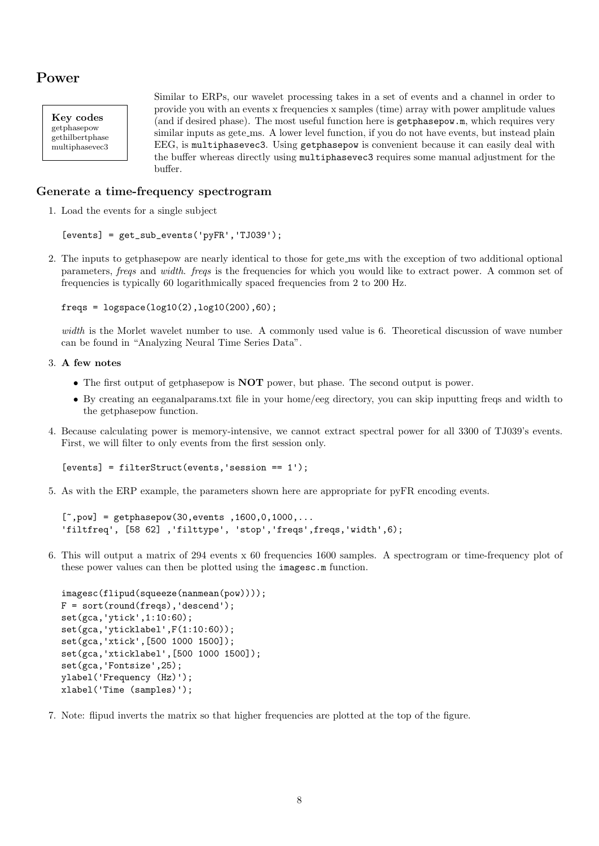# <span id="page-7-0"></span>Power

Key codes getphasepow gethilbertphase multiphasevec3

Similar to ERPs, our wavelet processing takes in a set of events and a channel in order to provide you with an events x frequencies x samples (time) array with power amplitude values (and if desired phase). The most useful function here is getphasepow.m, which requires very similar inputs as gete\_ms. A lower level function, if you do not have events, but instead plain EEG, is multiphasevec3. Using getphasepow is convenient because it can easily deal with the buffer whereas directly using multiphasevec3 requires some manual adjustment for the buffer.

### <span id="page-7-1"></span>Generate a time-frequency spectrogram

1. Load the events for a single subject

```
[events] = get\_sub_events('pyFR', 'TJ039');
```
2. The inputs to getphasepow are nearly identical to those for gete ms with the exception of two additional optional parameters, freqs and width. freqs is the frequencies for which you would like to extract power. A common set of frequencies is typically 60 logarithmically spaced frequencies from 2 to 200 Hz.

```
freqs = logspace(log10(2), log10(200), 60);
```
width is the Morlet wavelet number to use. A commonly used value is 6. Theoretical discussion of wave number can be found in "Analyzing Neural Time Series Data".

- 3. A few notes
	- The first output of getphasepow is **NOT** power, but phase. The second output is power.
	- By creating an eeganalparams.txt file in your home/eeg directory, you can skip inputting freqs and width to the getphasepow function.
- 4. Because calculating power is memory-intensive, we cannot extract spectral power for all 3300 of TJ039's events. First, we will filter to only events from the first session only.

[events] = filterStruct(events, 'session == 1');

5. As with the ERP example, the parameters shown here are appropriate for pyFR encoding events.

```
[\tilde{\ } , \text{pow}] = \text{getphasepow}(30, \text{events} , 1600, 0, 1000, \ldots'filtfreq', [58 62] ,'filttype', 'stop','freqs',freqs,'width',6);
```
6. This will output a matrix of 294 events x 60 frequencies 1600 samples. A spectrogram or time-frequency plot of these power values can then be plotted using the imagesc.m function.

```
imagesc(flipud(squeeze(nanmean(pow))));
F = sort(rownd(freqs), 'descend');set(gca,'ytick',1:10:60);
set(gca,'yticklabel',F(1:10:60));
set(gca,'xtick',[500 1000 1500]);
set(gca,'xticklabel',[500 1000 1500]);
set(gca,'Fontsize',25);
ylabel('Frequency (Hz)');
xlabel('Time (samples)');
```
7. Note: flipud inverts the matrix so that higher frequencies are plotted at the top of the figure.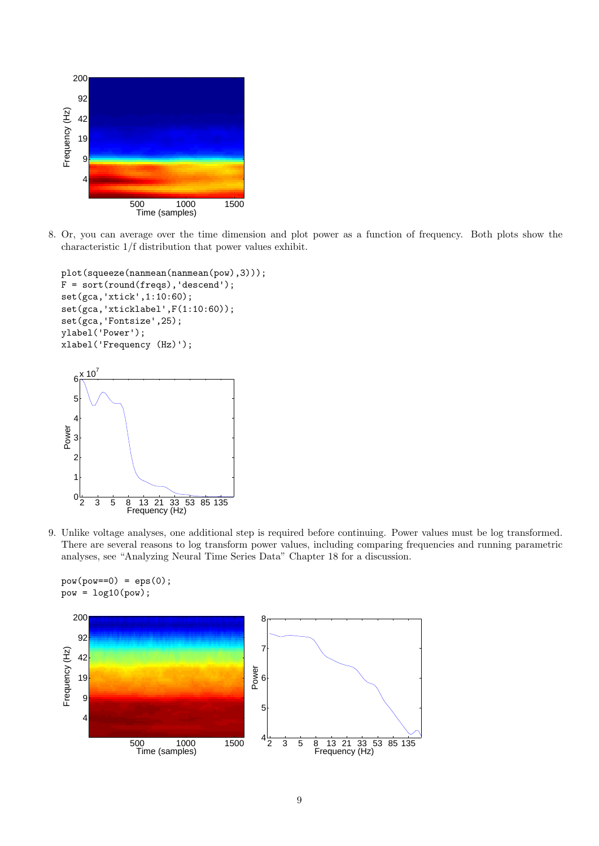

8. Or, you can average over the time dimension and plot power as a function of frequency. Both plots show the characteristic 1/f distribution that power values exhibit.

```
plot(squeeze(nanmean(nanmean(pow),3)));
F = sort(round(freqs), 'descend');set(gca,'xtick',1:10:60);
set(gca,'xticklabel',F(1:10:60));
set(gca,'Fontsize',25);
ylabel('Power');
xlabel('Frequency (Hz)');
  6
     10
```


9. Unlike voltage analyses, one additional step is required before continuing. Power values must be log transformed. There are several reasons to log transform power values, including comparing frequencies and running parametric analyses, see "Analyzing Neural Time Series Data" Chapter 18 for a discussion.

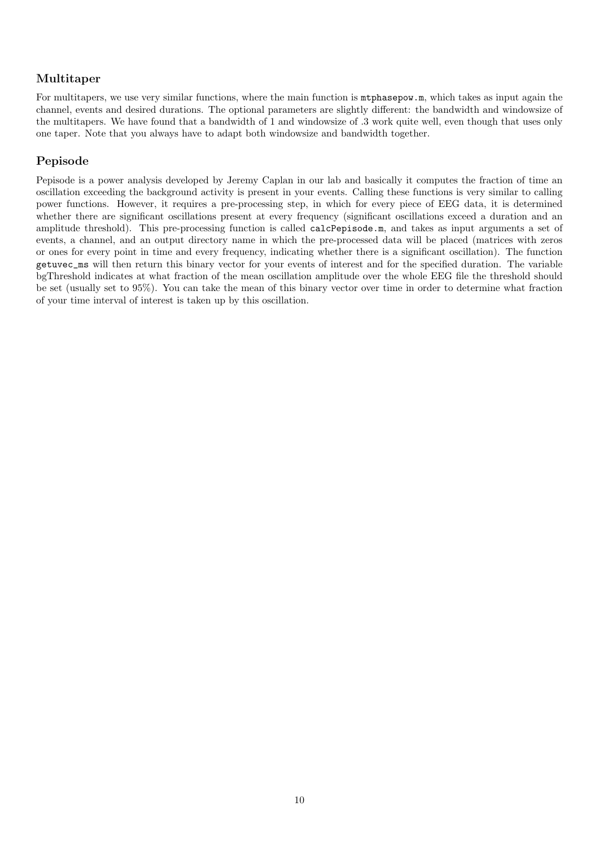## <span id="page-9-0"></span>Multitaper

For multitapers, we use very similar functions, where the main function is  $m$  to has  $m$ , which takes as input again the channel, events and desired durations. The optional parameters are slightly different: the bandwidth and windowsize of the multitapers. We have found that a bandwidth of 1 and windowsize of .3 work quite well, even though that uses only one taper. Note that you always have to adapt both windowsize and bandwidth together.

## <span id="page-9-1"></span>Pepisode

Pepisode is a power analysis developed by Jeremy Caplan in our lab and basically it computes the fraction of time an oscillation exceeding the background activity is present in your events. Calling these functions is very similar to calling power functions. However, it requires a pre-processing step, in which for every piece of EEG data, it is determined whether there are significant oscillations present at every frequency (significant oscillations exceed a duration and an amplitude threshold). This pre-processing function is called calcPepisode.m, and takes as input arguments a set of events, a channel, and an output directory name in which the pre-processed data will be placed (matrices with zeros or ones for every point in time and every frequency, indicating whether there is a significant oscillation). The function getuvec\_ms will then return this binary vector for your events of interest and for the specified duration. The variable bgThreshold indicates at what fraction of the mean oscillation amplitude over the whole EEG file the threshold should be set (usually set to 95%). You can take the mean of this binary vector over time in order to determine what fraction of your time interval of interest is taken up by this oscillation.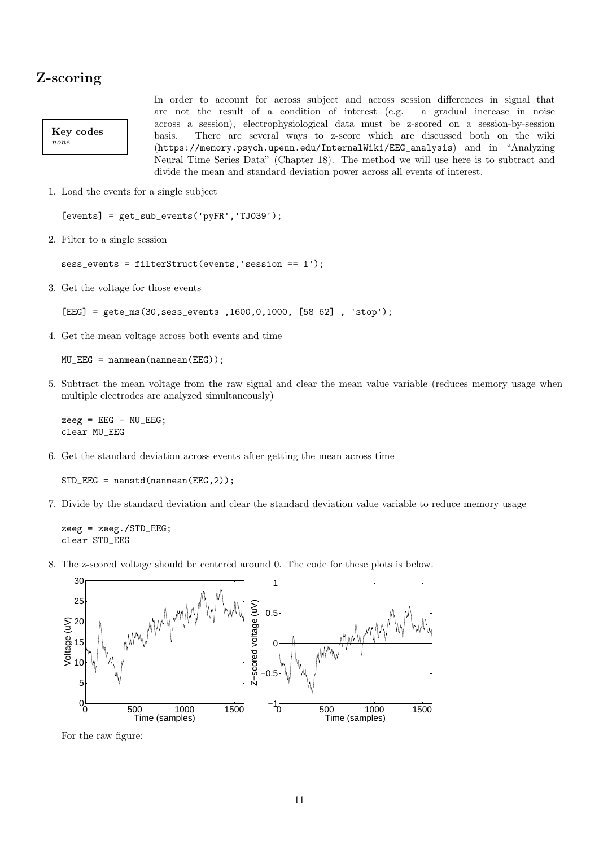# <span id="page-10-0"></span>Z-scoring

Key codes none

In order to account for across subject and across session differences in signal that are not the result of a condition of interest (e.g. a gradual increase in noise across a session), electrophysiological data must be z-scored on a session-by-session basis. There are several ways to z-score which are discussed both on the wiki (https://memory.psych.upenn.edu/InternalWiki/EEG\_analysis) and in "Analyzing Neural Time Series Data" (Chapter 18). The method we will use here is to subtract and divide the mean and standard deviation power across all events of interest.

1. Load the events for a single subject

 $[events] = get\_sub_events('pyFR', 'TJ039');$ 

2. Filter to a single session

sess\_events = filterStruct(events,'session == 1');

3. Get the voltage for those events

```
[EEG] = gete_ms(30,sess_events ,1600,0,1000, [58 62] , 'stop');
```
4. Get the mean voltage across both events and time

 $MU_EEG = nammean(namean(EEG))$ ;

5. Subtract the mean voltage from the raw signal and clear the mean value variable (reduces memory usage when multiple electrodes are analyzed simultaneously)

```
zeeg = EEG - MU_EEG;clear MU_EEG
```
6. Get the standard deviation across events after getting the mean across time

STD\_EEG = nanstd(nanmean(EEG,2));

7. Divide by the standard deviation and clear the standard deviation value variable to reduce memory usage

zeeg = zeeg./STD\_EEG; clear STD\_EEG

8. The z-scored voltage should be centered around 0. The code for these plots is below.



For the raw figure: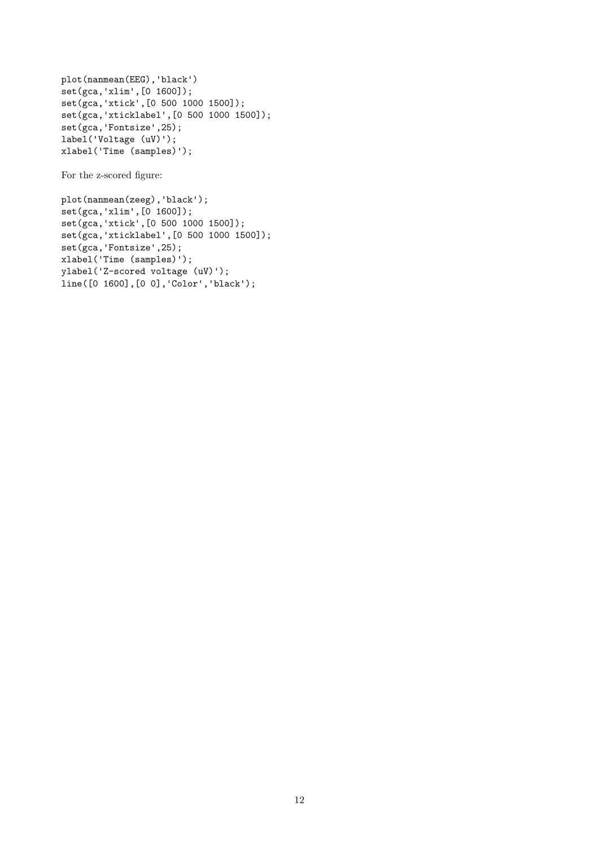```
plot(nanmean(EEG),'black')
set(gca,'xlim',[0 1600]);
set(gca,'xtick',[0 500 1000 1500]);
set(gca,'xticklabel',[0 500 1000 1500]);
set(gca,'Fontsize',25);
label('Voltage (uV)');
xlabel('Time (samples)');
```
For the z-scored figure:

```
plot(nanmean(zeeg),'black');
set(gca,'xlim',[0 1600]);
set(gca,'xtick',[0 500 1000 1500]);
set(gca,'xticklabel',[0 500 1000 1500]);
set(gca,'Fontsize',25);
xlabel('Time (samples)');
ylabel('Z-scored voltage (uV)');
line([0 1600],[0 0],'Color','black');
```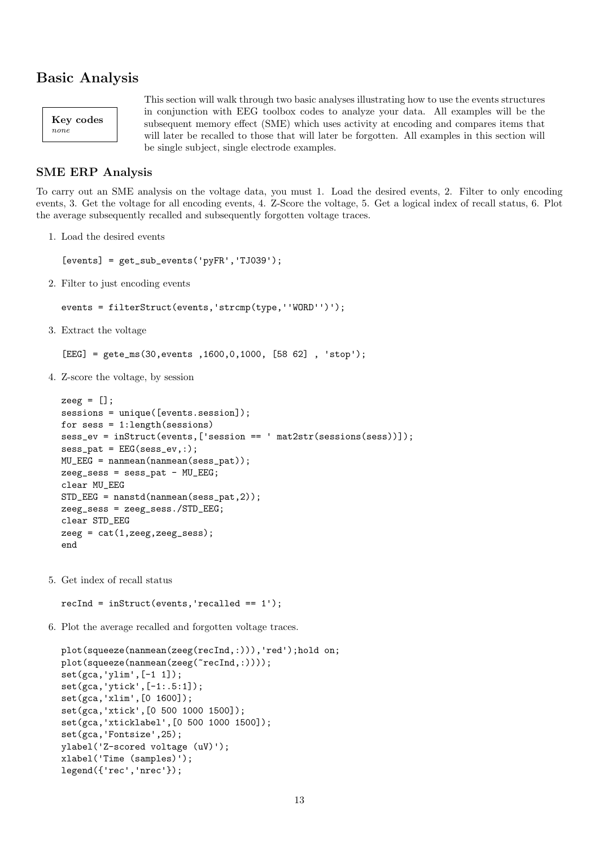# <span id="page-12-0"></span>Basic Analysis



This section will walk through two basic analyses illustrating how to use the events structures in conjunction with EEG toolbox codes to analyze your data. All examples will be the subsequent memory effect (SME) which uses activity at encoding and compares items that will later be recalled to those that will later be forgotten. All examples in this section will be single subject, single electrode examples.

#### <span id="page-12-1"></span>SME ERP Analysis

To carry out an SME analysis on the voltage data, you must 1. Load the desired events, 2. Filter to only encoding events, 3. Get the voltage for all encoding events, 4. Z-Score the voltage, 5. Get a logical index of recall status, 6. Plot the average subsequently recalled and subsequently forgotten voltage traces.

1. Load the desired events

 $[events] = get\_sub_events('pyFR', 'TJ039');$ 

2. Filter to just encoding events

```
events = filterStruct(events,'strcmp(type,''WORD'')');
```
3. Extract the voltage

```
[EEG] = gete_ms(30,events ,1600,0,1000, [58 62] , 'stop');
```
4. Z-score the voltage, by session

```
zeeg = [];
sessions = unique([events.session]);
for sess = 1:length(sessions)
sess_ev = inStruct(events,['session == ' mat2str(sessions(sess))]);
sess_pat = EEG(sess_ev,:);MU_EEG = nanmean(nanmean(sess_pat));
zeeg_sess = sess_pat - MU_EEG;
clear MU_EEG
STD_EEG = nanstd(nanmean(sess_pat,2));
zeeg_sess = zeeg_sess./STD_EEG;
clear STD_EEG
zeeg = cat(1,zeeg,zeeg_sess);end
```
5. Get index of recall status

recInd = inStruct(events,'recalled == 1');

6. Plot the average recalled and forgotten voltage traces.

```
plot(squeeze(nanmean(zeeg(recInd,:))),'red');hold on;
plot(squeeze(nanmean(zeeg("recInd,:))));
set(gca,'ylim',[-1 1]);
set(gca,'ytick',[-1:.5:1]);
set(gca,'xlim',[0 1600]);
set(gca,'xtick',[0 500 1000 1500]);
set(gca,'xticklabel',[0 500 1000 1500]);
set(gca,'Fontsize',25);
ylabel('Z-scored voltage (uV)');
xlabel('Time (samples)');
legend({'rec','nrec'});
```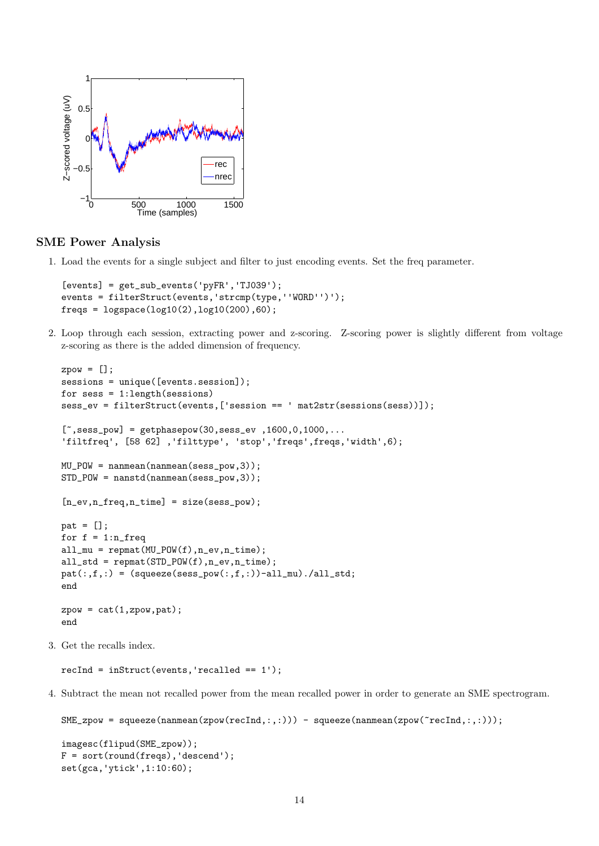

#### <span id="page-13-0"></span>SME Power Analysis

1. Load the events for a single subject and filter to just encoding events. Set the freq parameter.

```
[events] = get_sub_events('pyFR','TJ039');
events = filterStruct(events,'strcmp(type,''WORD'')');
freqs = logspace(log10(2), log10(200), 60);
```
2. Loop through each session, extracting power and z-scoring. Z-scoring power is slightly different from voltage z-scoring as there is the added dimension of frequency.

```
zpow = [];
sessions = unique([events.session]);
for sess = 1:length(sessions)
sess_ev = filterStruct(events,['session == ' mat2str(sessions(sess))]);
[^{\sim}, \text{sess\_pow}] = \text{getphasepow}(30, \text{sess\_ev}, 1600, 0, 1000, \ldots)'filtfreq', [58 62] ,'filttype', 'stop','freqs',freqs,'width',6);
MU_POW = nanmean(nanmean(sess_pow,3));
STD_POW = nanstd(nanmean(sess_pow,3));
[n_ev, n_freq, n_time] = size(sess_pow);pat = [];
for f = 1:n freq
all_mu = repmat(MU_POW(f), n_ev, n_time);all_std = repmat(STD_POW(f),n_ev,n_time);
pat(:,f,:) = (squeeze(sess\_pow(:,f,:))-all\_mu)./all_std;
end
zpow = cat(1,zpow,pat);end
```
3. Get the recalls index.

```
recInd = inftruct(events, 'recalled == 1');
```
4. Subtract the mean not recalled power from the mean recalled power in order to generate an SME spectrogram.

```
SME_zpow = squeeze(nanmean(zpow(recInd,:,:))) - squeeze(nanmean(zpow(~recInd,:,:)));
```

```
imagesc(flipud(SME_zpow));
F = sort(rownd(freqs), 'descend');set(gca,'ytick',1:10:60);
```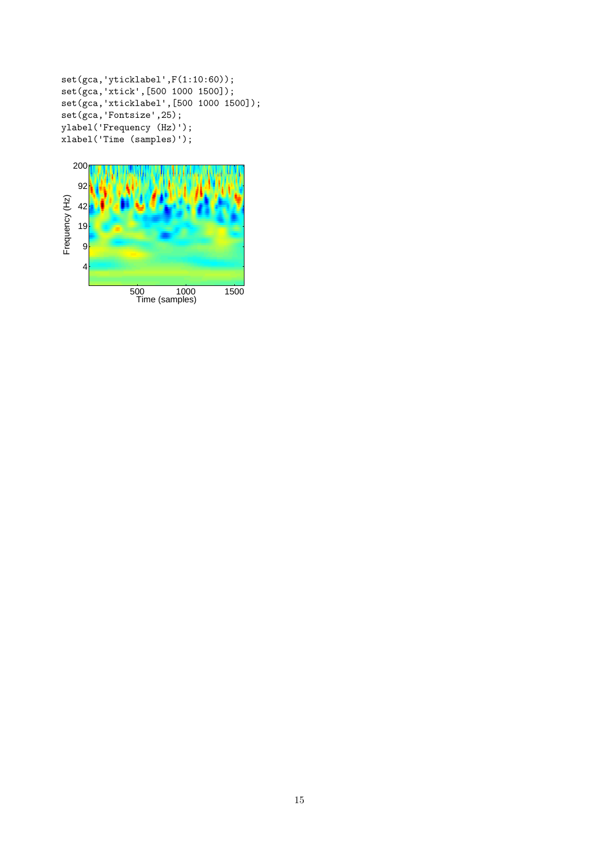```
set(gca,'yticklabel',F(1:10:60));
set(gca,'xtick',[500 1000 1500]);
set(gca,'xticklabel',[500 1000 1500]);
set(gca,'Fontsize',25);
ylabel('Frequency (Hz)');
xlabel('Time (samples)');
```
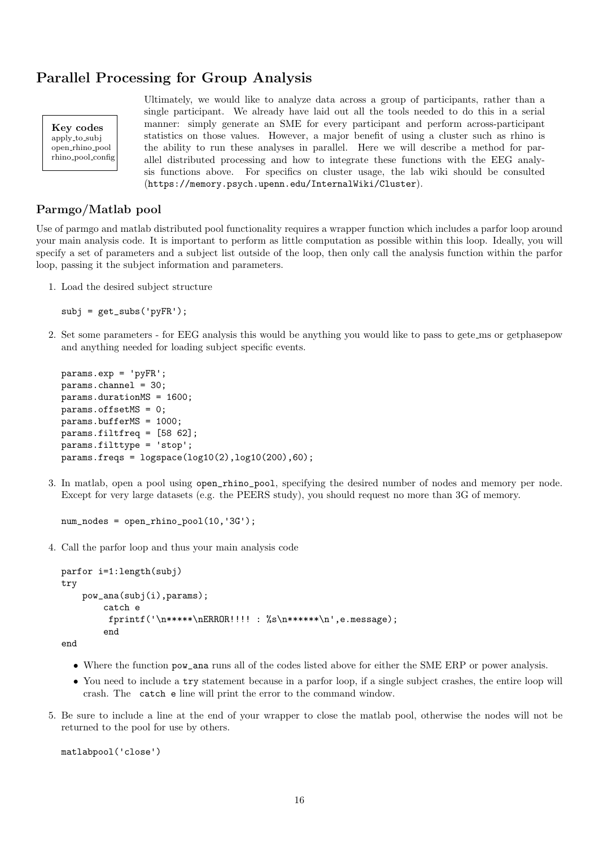# <span id="page-15-0"></span>Parallel Processing for Group Analysis

Key codes apply to subj open rhino pool rhino pool config Ultimately, we would like to analyze data across a group of participants, rather than a single participant. We already have laid out all the tools needed to do this in a serial manner: simply generate an SME for every participant and perform across-participant statistics on those values. However, a major benefit of using a cluster such as rhino is the ability to run these analyses in parallel. Here we will describe a method for parallel distributed processing and how to integrate these functions with the EEG analysis functions above. For specifics on cluster usage, the lab wiki should be consulted (https://memory.psych.upenn.edu/InternalWiki/Cluster).

#### <span id="page-15-1"></span>Parmgo/Matlab pool

Use of parmgo and matlab distributed pool functionality requires a wrapper function which includes a parfor loop around your main analysis code. It is important to perform as little computation as possible within this loop. Ideally, you will specify a set of parameters and a subject list outside of the loop, then only call the analysis function within the parfor loop, passing it the subject information and parameters.

1. Load the desired subject structure

```
subj = get\_subs('pyFR');
```
2. Set some parameters - for EEG analysis this would be anything you would like to pass to gete ms or getphasepow and anything needed for loading subject specific events.

```
params.exp = 'pyFR';
params.channel = 30;
params.durationMS = 1600;
params.offsetMS = 0;
params.bufferMS = 1000;
params.filtfreq = [58 62];
params.filttype = 'stop';
params.freqs = logspace(log10(2), log10(200), 60);
```
3. In matlab, open a pool using open\_rhino\_pool, specifying the desired number of nodes and memory per node. Except for very large datasets (e.g. the PEERS study), you should request no more than 3G of memory.

```
num_nodes = open_rhino_pool(10,'3G');
```
4. Call the parfor loop and thus your main analysis code

```
parfor i=1:length(subj)
try
    pow_ana(subj(i),params);
        catch e
         fprintf('\n*****\nERROR!!!! : %s\n******\n',e.message);
        end
```
end

- Where the function pow\_ana runs all of the codes listed above for either the SME ERP or power analysis.
- You need to include a try statement because in a parfor loop, if a single subject crashes, the entire loop will crash. The catch e line will print the error to the command window.
- 5. Be sure to include a line at the end of your wrapper to close the matlab pool, otherwise the nodes will not be returned to the pool for use by others.

```
matlabpool('close')
```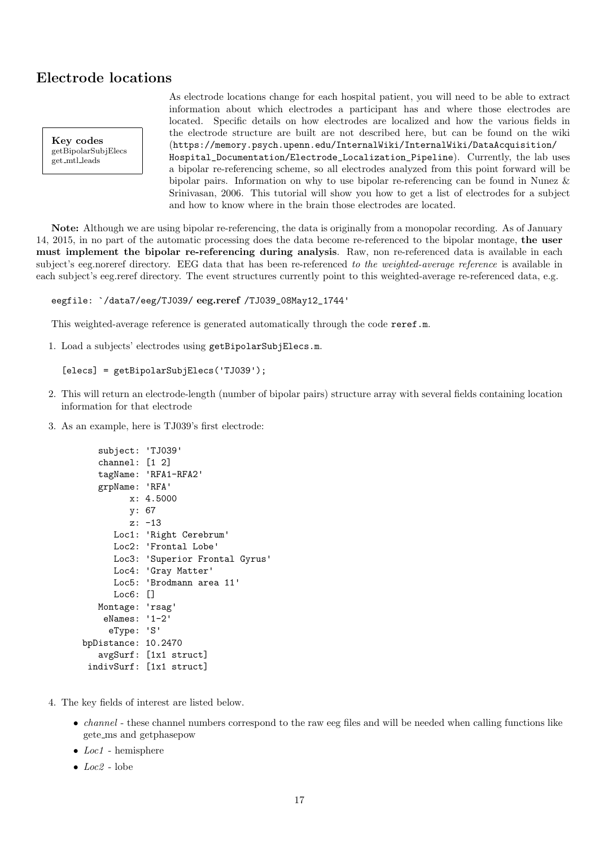## <span id="page-16-1"></span><span id="page-16-0"></span>Electrode locations

Key codes getBipolarSubjElecs get mtl leads

As electrode locations change for each hospital patient, you will need to be able to extract information about which electrodes a participant has and where those electrodes are located. Specific details on how electrodes are localized and how the various fields in the electrode structure are built are not described here, but can be found on the wiki (https://memory.psych.upenn.edu/InternalWiki/InternalWiki/DataAcquisition/ Hospital\_Documentation/Electrode\_Localization\_Pipeline). Currently, the lab uses a bipolar re-referencing scheme, so all electrodes analyzed from this point forward will be bipolar pairs. Information on why to use bipolar re-referencing can be found in Nunez & Srinivasan, 2006. This tutorial will show you how to get a list of electrodes for a subject and how to know where in the brain those electrodes are located.

Note: Although we are using bipolar re-referencing, the data is originally from a monopolar recording. As of January 14, 2015, in no part of the automatic processing does the data become re-referenced to the bipolar montage, the user must implement the bipolar re-referencing during analysis. Raw, non re-referenced data is available in each subject's eeg.noreref directory. EEG data that has been re-referenced to the weighted-average reference is available in each subject's eeg.reref directory. The event structures currently point to this weighted-average re-referenced data, e.g.

eegfile: `/data7/eeg/TJ039/ eeg.reref /TJ039\_08May12\_1744'

This weighted-average reference is generated automatically through the code reref.m.

1. Load a subjects' electrodes using getBipolarSubjElecs.m.

```
[elecs] = getBipolarSubjElecs('TJ039');
```
- 2. This will return an electrode-length (number of bipolar pairs) structure array with several fields containing location information for that electrode
- 3. As an example, here is TJ039's first electrode:

```
subject: 'TJ039'
   channel: [1 2]
   tagName: 'RFA1-RFA2'
   grpName: 'RFA'
         x: 4.5000
         y: 67
         z: -13
      Loc1: 'Right Cerebrum'
      Loc2: 'Frontal Lobe'
      Loc3: 'Superior Frontal Gyrus'
      Loc4: 'Gray Matter'
      Loc5: 'Brodmann area 11'
      Loc6: []
   Montage: 'rsag'
    eNames: '1-2'
     eType: 'S'
bpDistance: 10.2470
   avgSurf: [1x1 struct]
 indivSurf: [1x1 struct]
```
- 4. The key fields of interest are listed below.
	- *channel* these channel numbers correspond to the raw eeg files and will be needed when calling functions like gete ms and getphasepow
	- $Loc1$  hemisphere
	- $\bullet$  *Loc2* lobe